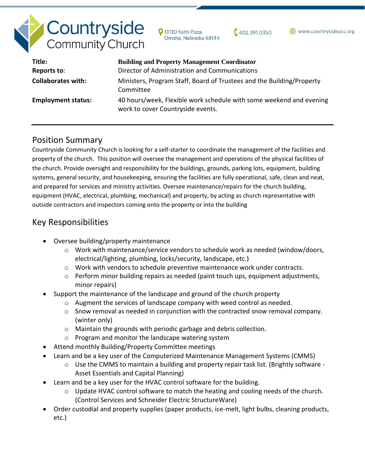# **Countryside**<br>Community Church

13130 Faith Plaza Omaha, Nebraska 68144  $402.391.0350$ 

www.countrysideucc.org

| Title:                    | <b>Building and Property Management Coordinator</b>                                                      |
|---------------------------|----------------------------------------------------------------------------------------------------------|
| Reports to:               | Director of Administration and Communications                                                            |
| <b>Collaborates with:</b> | Ministers, Program Staff, Board of Trustees and the Building/Property<br>Committee                       |
| <b>Employment status:</b> | 40 hours/week, Flexible work schedule with some weekend and evening<br>work to cover Countryside events. |

## Position Summary

Countryside Community Church is looking for a self-starter to coordinate the management of the facilities and property of the church. This position will oversee the management and operations of the physical facilities of the church. Provide oversight and responsibility for the buildings, grounds, parking lots, equipment, building systems, general security, and housekeeping, ensuring the facilities are fully operational, safe, clean and neat, and prepared for services and ministry activities. Oversee maintenance/repairs for the church building, equipment (HVAC, electrical, plumbing, mechanical) and property, by acting as church representative with outside contractors and inspectors coming onto the property or into the building

# Key Responsibilities

- Oversee building/property maintenance
	- $\circ$  Work with maintenance/service vendors to schedule work as needed (window/doors, electrical/lighting, plumbing, locks/security, landscape, etc.)
	- $\circ$  Work with vendors to schedule preventive maintenance work under contracts.
	- o Perform minor building repairs as needed (paint touch ups, equipment adjustments, minor repairs)
- Support the maintenance of the landscape and ground of the church property
	- $\circ$  Augment the services of landscape company with weed control as needed.
	- $\circ$  Snow removal as needed in conjunction with the contracted snow removal company. (winter only)
	- o Maintain the grounds with periodic garbage and debris collection.
	- o Program and monitor the landscape watering system
- Attend monthly Building/Property Committee meetings
- Learn and be a key user of the Computerized Maintenance Management Systems (CMMS)
	- $\circ$  Use the CMMS to maintain a building and property repair task list. (Brightly software -Asset Essentials and Capital Planning)
- Learn and be a key user for the HVAC control software for the building.
	- $\circ$  Update HVAC control software to match the heating and cooling needs of the church. (Control Services and Schneider Electric StructureWare)
- Order custodial and property supplies (paper products, ice-melt, light bulbs, cleaning products, etc.)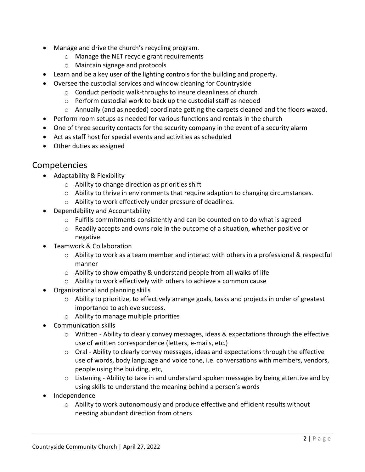- Manage and drive the church's recycling program.
	- o Manage the NET recycle grant requirements
	- o Maintain signage and protocols
- Learn and be a key user of the lighting controls for the building and property.
- Oversee the custodial services and window cleaning for Countryside
	- o Conduct periodic walk-throughs to insure cleanliness of church
	- o Perform custodial work to back up the custodial staff as needed
	- o Annually (and as needed) coordinate getting the carpets cleaned and the floors waxed.
- Perform room setups as needed for various functions and rentals in the church
- One of three security contacts for the security company in the event of a security alarm
- Act as staff host for special events and activities as scheduled
- Other duties as assigned

## Competencies

- Adaptability & Flexibility
	- o Ability to change direction as priorities shift
	- o Ability to thrive in environments that require adaption to changing circumstances.
	- o Ability to work effectively under pressure of deadlines.
- Dependability and Accountability
	- $\circ$  Fulfills commitments consistently and can be counted on to do what is agreed
	- $\circ$  Readily accepts and owns role in the outcome of a situation, whether positive or negative
- Teamwork & Collaboration
	- o Ability to work as a team member and interact with others in a professional & respectful manner
	- o Ability to show empathy & understand people from all walks of life
	- o Ability to work effectively with others to achieve a common cause
- Organizational and planning skills
	- $\circ$  Ability to prioritize, to effectively arrange goals, tasks and projects in order of greatest importance to achieve success.
	- o Ability to manage multiple priorities
- Communication skills
	- o Written Ability to clearly convey messages, ideas & expectations through the effective use of written correspondence (letters, e-mails, etc.)
	- o Oral Ability to clearly convey messages, ideas and expectations through the effective use of words, body language and voice tone, i.e. conversations with members, vendors, people using the building, etc,
	- $\circ$  Listening Ability to take in and understand spoken messages by being attentive and by using skills to understand the meaning behind a person's words
- Independence
	- $\circ$  Ability to work autonomously and produce effective and efficient results without needing abundant direction from others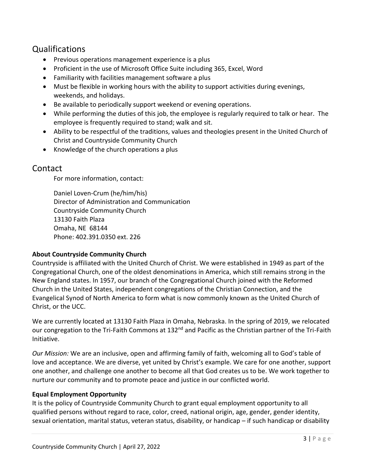# Qualifications

- Previous operations management experience is a plus
- Proficient in the use of Microsoft Office Suite including 365, Excel, Word
- Familiarity with facilities management software a plus
- Must be flexible in working hours with the ability to support activities during evenings, weekends, and holidays.
- Be available to periodically support weekend or evening operations.
- While performing the duties of this job, the employee is regularly required to talk or hear. The employee is frequently required to stand; walk and sit.
- Ability to be respectful of the traditions, values and theologies present in the United Church of Christ and Countryside Community Church
- Knowledge of the church operations a plus

### Contact

For more information, contact:

Daniel Loven-Crum (he/him/his) Director of Administration and Communication Countryside Community Church 13130 Faith Plaza Omaha, NE 68144 Phone: 402.391.0350 ext. 226

#### **About Countryside Community Church**

Countryside is affiliated with the United Church of Christ. We were established in 1949 as part of the Congregational Church, one of the oldest denominations in America, which still remains strong in the New England states. In 1957, our branch of the Congregational Church joined with the Reformed Church in the United States, independent congregations of the Christian Connection, and the Evangelical Synod of North America to form what is now commonly known as the United Church of Christ, or the UCC.

We are currently located at 13130 Faith Plaza in Omaha, Nebraska. In the spring of 2019, we relocated our congregation to the Tri-Faith Commons at 132<sup>nd</sup> and Pacific as the Christian partner of the Tri-Faith Initiative.

*Our Mission:* We are an inclusive, open and affirming family of faith, welcoming all to God's table of love and acceptance. We are diverse, yet united by Christ's example. We care for one another, support one another, and challenge one another to become all that God creates us to be. We work together to nurture our community and to promote peace and justice in our conflicted world.

#### **Equal Employment Opportunity**

It is the policy of Countryside Community Church to grant equal employment opportunity to all qualified persons without regard to race, color, creed, national origin, age, gender, gender identity, sexual orientation, marital status, veteran status, disability, or handicap – if such handicap or disability